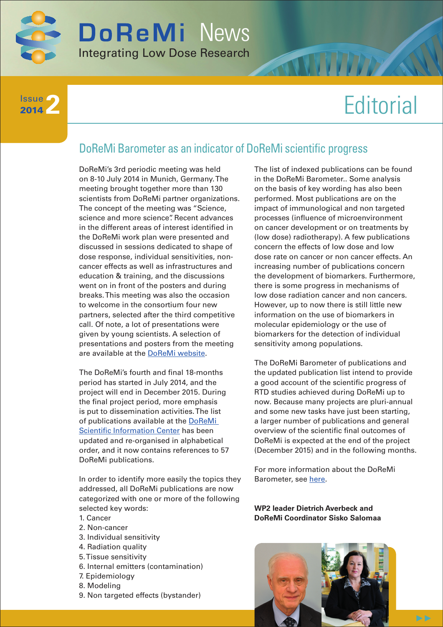

#### **2** Issue 2014

# **Editorial**

## DoReMi Barometer as an indicator of DoReMi scientific progress

DoReMi's 3rd periodic meeting was held on 8-10 July 2014 in Munich, Germany. The meeting brought together more than 130 scientists from DoReMi partner organizations. The concept of the meeting was "Science, science and more science". Recent advances in the different areas of interest identified in the DoReMi work plan were presented and discussed in sessions dedicated to shape of dose response, individual sensitivities, noncancer effects as well as infrastructures and education & training, and the discussions went on in front of the posters and during breaks. This meeting was also the occasion to welcome in the consortium four new partners, selected after the third competitive call. Of note, a lot of presentations were given by young scientists. A selection of presentations and posters from the meeting are available at the DoReMi website.

The DoReMi's fourth and final 18-months period has started in July 2014, and the project will end in December 2015. During the final project period, more emphasis is put to dissemination activities. The list of publications available at the DoReMi Scientific Information Center has been updated and re-organised in alphabetical order, and it now contains references to 57 DoReMi publications.

In order to identify more easily the topics they addressed, all DoReMi publications are now categorized with one or more of the following selected key words:

- 1. Cancer
- 2. Non-cancer
- 3. Individual sensitivity
- 4. Radiation quality
- 5. Tissue sensitivity
- 6. Internal emitters (contamination)
- 7. Epidemiology
- 8. Modeling
- 9. Non targeted effects (bystander)

The list of indexed publications can be found in the DoReMi Barometer.. Some analysis on the basis of key wording has also been performed. Most publications are on the impact of immunological and non targeted processes (influence of microenvironment on cancer development or on treatments by (low dose) radiotherapy). A few publications concern the effects of low dose and low dose rate on cancer or non cancer effects. An increasing number of publications concern the development of biomarkers. Furthermore, there is some progress in mechanisms of low dose radiation cancer and non cancers. However, up to now there is still little new information on the use of biomarkers in molecular epidemiology or the use of biomarkers for the detection of individual sensitivity among populations.

The DoReMi Barometer of publications and the updated publication list intend to provide a good account of the scientific progress of RTD studies achieved during DoReMi up to now. Because many projects are pluri-annual and some new tasks have just been starting, a larger number of publications and general overview of the scientific final outcomes of DoReMi is expected at the end of the project (December 2015) and in the following months.

For more information about the DoReMi Barometer, see here.

**WP2 leader Dietrich Averbeck and DoReMi Coordinator Sisko Salomaa**



 $\blacktriangleright$